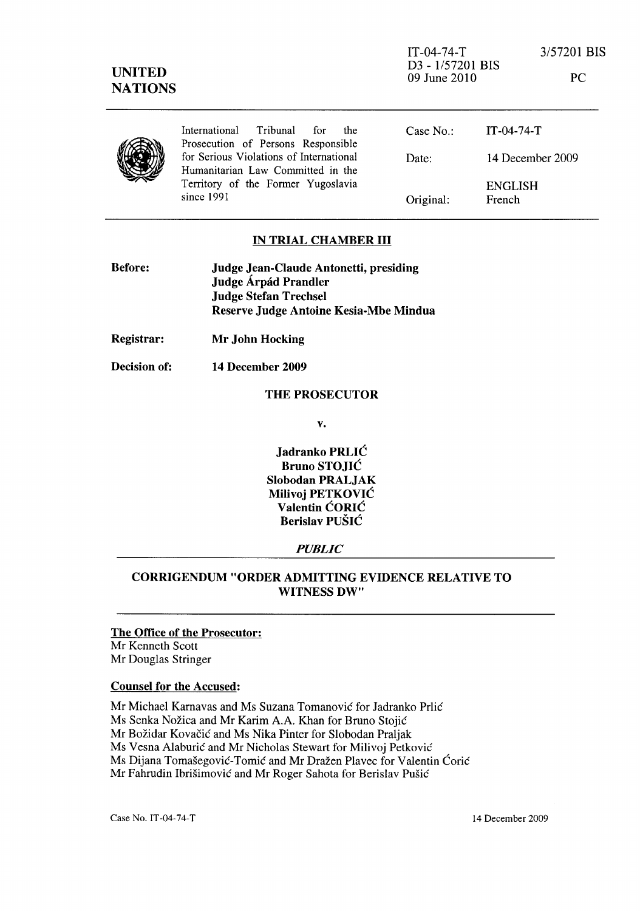| <b>UNITED</b><br><b>NATIONS</b> |                                                                               | $IT-04-74-T$<br>D3 - 1/57201 BIS<br>09 June 2010 |                          | 3/57201 BIS<br><b>PC</b> |
|---------------------------------|-------------------------------------------------------------------------------|--------------------------------------------------|--------------------------|--------------------------|
|                                 | International<br>Tribunal<br>for<br>the<br>Prosecution of Persons Responsible | Case No.                                         | $IT-04-74-T$             |                          |
|                                 | for Serious Violations of International<br>Humanitarian Law Committed in the  | Date:                                            |                          | 14 December 2009         |
|                                 | Territory of the Former Yugoslavia<br>since 1991                              | Original:                                        | <b>ENGLISH</b><br>French |                          |

## IN TRIAL CHAMBER **III**

| <b>Before:</b> | Judge Jean-Claude Antonetti, presiding |
|----------------|----------------------------------------|
|                | Judge Árpád Prandler                   |
|                | <b>Judge Stefan Trechsel</b>           |
|                | Reserve Judge Antoine Kesia-Mbe Mindua |
|                |                                        |

- Registrar: Mr John Hocking
- Decision of: 14 December 2009

### THE PROSECUTOR

v.

Jadranko PRLIC Bruno STOJIC Slobodan PRALJAK Milivoj PETKOVIC Valentin CORIC Berislav PUSIC

#### *PUBLIC*

# CORRIGENDUM "ORDER ADMITTING EVIDENCE RELATIVE TO WITNESS DW"

# The Office of the Prosecutor: Mr Kenneth Scott

Mr Douglas Stringer

## Counsel for the Accused:

Mr Michael Karnavas and Ms Suzana Tomanovic for ladranko Prlic Ms Senka Nožica and Mr Karim A.A. Khan for Bruno Stojić Mr Božidar Kovačić and Ms Nika Pinter for Slobodan Praljak Ms Vesna Alaburić and Mr Nicholas Stewart for Milivoj Petković Ms Dijana Tomašegović-Tomić and Mr Dražen Plavec for Valentin Ćorić Mr Fahrudin Ibrišimović and Mr Roger Sahota for Berislav Pušić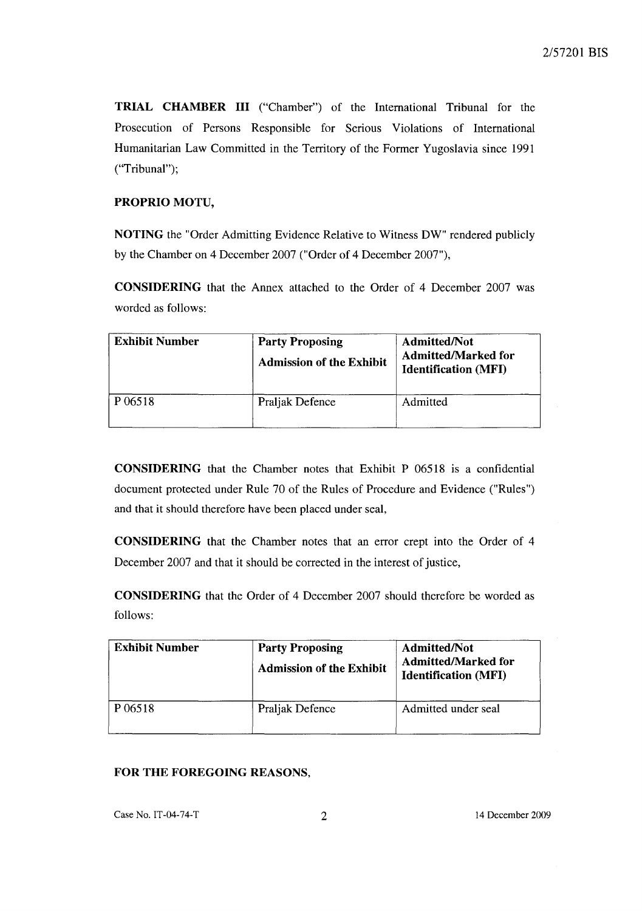TRIAL CHAMBER III ("Chamber") of the International Tribunal for the Prosecution of Persons Responsible for Serious Violations of International Humanitarian Law Committed in the Territory of the Former Yugoslavia since 1991 ("Tribunal");

# PROPRIO MOTU,

NOTING the "Order Admitting Evidence Relative to Witness DW" rendered publicly by the Chamber on 4 December 2007 ("Order of 4 December 2007"),

CONSIDERING that the Annex attached to the Order of 4 December 2007 was worded as follows:

| <b>Exhibit Number</b> | <b>Party Proposing</b><br><b>Admission of the Exhibit</b> | Admitted/Not<br><b>Admitted/Marked for</b><br><b>Identification (MFI)</b> |
|-----------------------|-----------------------------------------------------------|---------------------------------------------------------------------------|
| P 06518               | Praljak Defence                                           | Admitted                                                                  |

CONSIDERING that the Chamber notes that Exhibit P 06518 is a confidential document protected under Rule 70 of the Rules of Procedure and Evidence ("Rules") and that it should therefore have been placed under seal,

CONSIDERING that the Chamber notes that an error crept into the Order of 4 December 2007 and that it should be corrected in the interest of justice,

CONSIDERING that the Order of 4 December 2007 should therefore be worded as follows:

| <b>Exhibit Number</b> | <b>Party Proposing</b><br><b>Admission of the Exhibit</b> | <b>Admitted/Not</b><br><b>Admitted/Marked for</b><br><b>Identification (MFI)</b> |
|-----------------------|-----------------------------------------------------------|----------------------------------------------------------------------------------|
| P 06518               | Praljak Defence                                           | Admitted under seal                                                              |

# FOR THE FOREGOING REASONS,

Case No. IT-04-74-T 2 14 December 2009